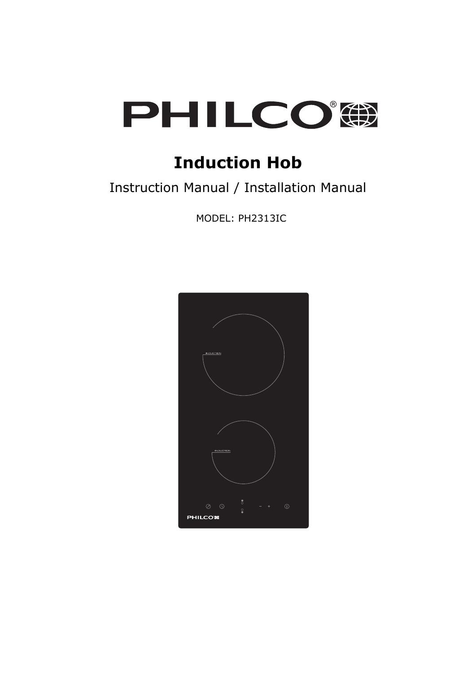

# **Induction Hob**

# Instruction Manual / Installation Manual

MODEL: PH2313IC

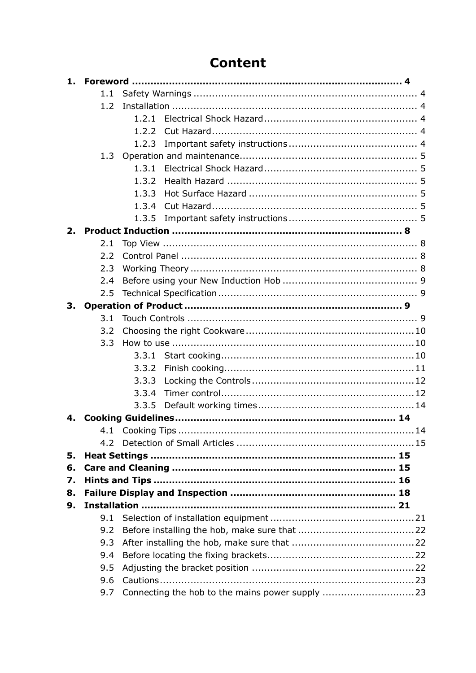# **Content**

|    | 1.1 |       |
|----|-----|-------|
|    | 1.2 |       |
|    |     | 1.2.1 |
|    |     | 1.2.2 |
|    |     | 1.2.3 |
|    | 1.3 |       |
|    |     | 1.3.1 |
|    |     | 1.3.2 |
|    |     | 1.3.3 |
|    |     | 1.3.4 |
|    |     | 1.3.5 |
| 2. |     |       |
|    | 2.1 |       |
|    | 2.2 |       |
|    | 2.3 |       |
|    | 2.4 |       |
|    | 2.5 |       |
| 3. |     |       |
|    | 3.1 |       |
|    | 3.2 |       |
|    | 3.3 |       |
|    |     | 3.3.1 |
|    |     | 3.3.2 |
|    |     | 3.3.3 |
|    |     | 3.3.4 |
|    |     | 3.3.5 |
| 4. |     |       |
|    |     |       |
|    |     |       |
| 5. |     |       |
| 6. |     |       |
| 7. |     |       |
| 8. |     |       |
| 9. |     |       |
|    | 9.1 |       |
|    | 9.2 |       |
|    | 9.3 |       |
|    | 9.4 |       |
|    | 9.5 |       |
|    | 9.6 |       |
|    | 9.7 |       |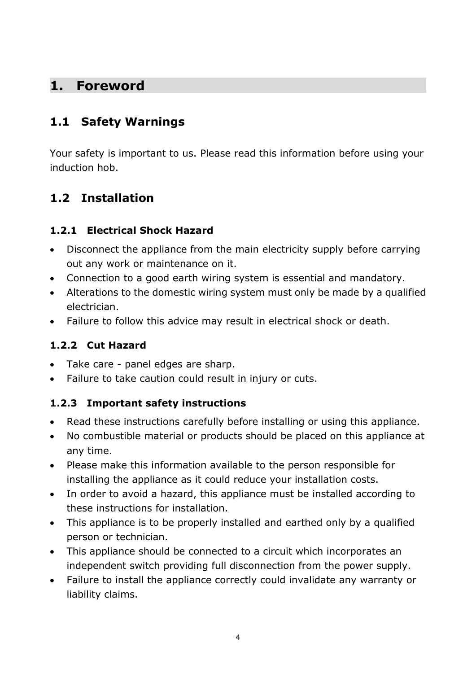### <span id="page-2-0"></span>**1. Foreword**

### <span id="page-2-1"></span>**1.1 Safety Warnings**

Your safety is important to us. Please read this information before using your induction hob.

# <span id="page-2-2"></span>**1.2 Installation**

#### <span id="page-2-3"></span>**1.2.1 Electrical Shock Hazard**

- Disconnect the appliance from the main electricity supply before carrying out any work or maintenance on it.
- Connection to a good earth wiring system is essential and mandatory.
- Alterations to the domestic wiring system must only be made by a qualified electrician.
- Failure to follow this advice may result in electrical shock or death.

#### <span id="page-2-4"></span>**1.2.2 Cut Hazard**

- Take care panel edges are sharp.
- Failure to take caution could result in injury or cuts.

#### <span id="page-2-5"></span>**1.2.3 Important safety instructions**

- Read these instructions carefully before installing or using this appliance.
- No combustible material or products should be placed on this appliance at any time.
- Please make this information available to the person responsible for installing the appliance as it could reduce your installation costs.
- In order to avoid a hazard, this appliance must be installed according to these instructions for installation.
- This appliance is to be properly installed and earthed only by a qualified person or technician.
- This appliance should be connected to a circuit which incorporates an independent switch providing full disconnection from the power supply.
- Failure to install the appliance correctly could invalidate any warranty or liability claims.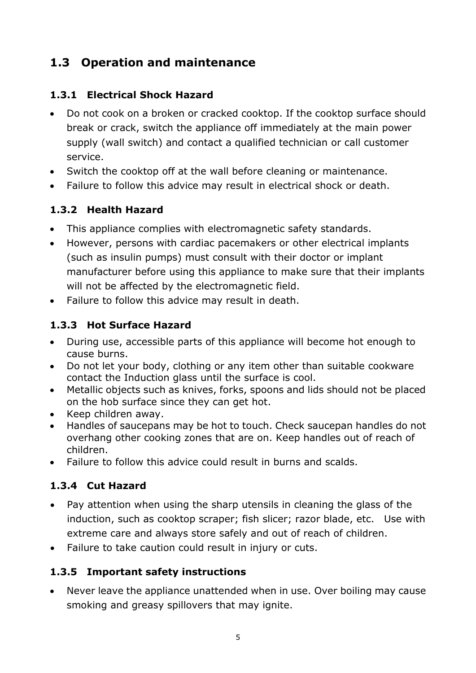# <span id="page-3-0"></span>**1.3 Operation and maintenance**

### <span id="page-3-1"></span>**1.3.1 Electrical Shock Hazard**

- Do not cook on a broken or cracked cooktop. If the cooktop surface should break or crack, switch the appliance off immediately at the main power supply (wall switch) and contact a qualified technician or call customer service.
- Switch the cooktop off at the wall before cleaning or maintenance.
- Failure to follow this advice may result in electrical shock or death.

#### <span id="page-3-2"></span>**1.3.2 Health Hazard**

- This appliance complies with electromagnetic safety standards.
- However, persons with cardiac pacemakers or other electrical implants (such as insulin pumps) must consult with their doctor or implant manufacturer before using this appliance to make sure that their implants will not be affected by the electromagnetic field.
- Failure to follow this advice may result in death.

### <span id="page-3-3"></span>**1.3.3 Hot Surface Hazard**

- During use, accessible parts of this appliance will become hot enough to cause burns.
- Do not let your body, clothing or any item other than suitable cookware contact the Induction glass until the surface is cool.
- Metallic objects such as knives, forks, spoons and lids should not be placed on the hob surface since they can get hot.
- Keep children away.
- Handles of saucepans may be hot to touch. Check saucepan handles do not overhang other cooking zones that are on. Keep handles out of reach of children.
- Failure to follow this advice could result in burns and scalds.

### <span id="page-3-4"></span>**1.3.4 Cut Hazard**

- Pay attention when using the sharp utensils in cleaning the glass of the induction, such as cooktop scraper; fish slicer; razor blade, etc. Use with extreme care and always store safely and out of reach of children.
- Failure to take caution could result in injury or cuts.

### <span id="page-3-5"></span>**1.3.5 Important safety instructions**

• Never leave the appliance unattended when in use. Over boiling may cause smoking and greasy spillovers that may ignite.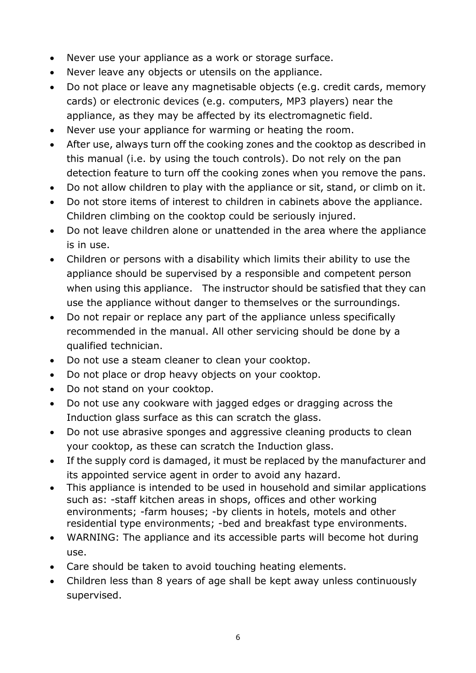- Never use your appliance as a work or storage surface.
- Never leave any objects or utensils on the appliance.
- Do not place or leave any magnetisable objects (e.g. credit cards, memory cards) or electronic devices (e.g. computers, MP3 players) near the appliance, as they may be affected by its electromagnetic field.
- Never use your appliance for warming or heating the room.
- After use, always turn off the cooking zones and the cooktop as described in this manual (i.e. by using the touch controls). Do not rely on the pan detection feature to turn off the cooking zones when you remove the pans.
- Do not allow children to play with the appliance or sit, stand, or climb on it.
- Do not store items of interest to children in cabinets above the appliance. Children climbing on the cooktop could be seriously injured.
- Do not leave children alone or unattended in the area where the appliance is in use.
- Children or persons with a disability which limits their ability to use the appliance should be supervised by a responsible and competent person when using this appliance. The instructor should be satisfied that they can use the appliance without danger to themselves or the surroundings.
- Do not repair or replace any part of the appliance unless specifically recommended in the manual. All other servicing should be done by a qualified technician.
- Do not use a steam cleaner to clean your cooktop.
- Do not place or drop heavy objects on your cooktop.
- Do not stand on your cooktop.
- Do not use any cookware with jagged edges or dragging across the Induction glass surface as this can scratch the glass.
- Do not use abrasive sponges and aggressive cleaning products to clean your cooktop, as these can scratch the Induction glass.
- If the supply cord is damaged, it must be replaced by the manufacturer and its appointed service agent in order to avoid any hazard.
- This appliance is intended to be used in household and similar applications such as: -staff kitchen areas in shops, offices and other working environments; -farm houses; -by clients in hotels, motels and other residential type environments; -bed and breakfast type environments.
- WARNING: The appliance and its accessible parts will become hot during use.
- Care should be taken to avoid touching heating elements.
- Children less than 8 years of age shall be kept away unless continuously supervised.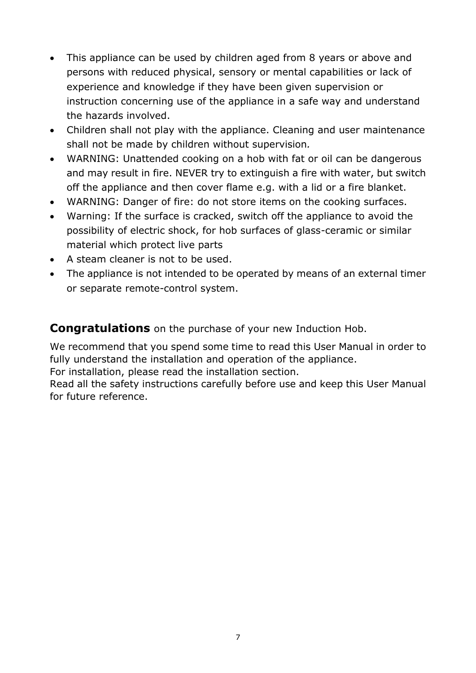- This appliance can be used by children aged from 8 years or above and persons with reduced physical, sensory or mental capabilities or lack of experience and knowledge if they have been given supervision or instruction concerning use of the appliance in a safe way and understand the hazards involved.
- Children shall not play with the appliance. Cleaning and user maintenance shall not be made by children without supervision*.*
- WARNING: Unattended cooking on a hob with fat or oil can be dangerous and may result in fire. NEVER try to extinguish a fire with water, but switch off the appliance and then cover flame e.g. with a lid or a fire blanket.
- WARNING: Danger of fire: do not store items on the cooking surfaces.
- Warning: If the surface is cracked, switch off the appliance to avoid the possibility of electric shock, for hob surfaces of glass-ceramic or similar material which protect live parts
- A steam cleaner is not to be used.
- The appliance is not intended to be operated by means of an external timer or separate remote-control system.

**Congratulations** on the purchase of your new Induction Hob.

We recommend that you spend some time to read this User Manual in order to fully understand the installation and operation of the appliance.

For installation, please read the installation section.

Read all the safety instructions carefully before use and keep this User Manual for future reference.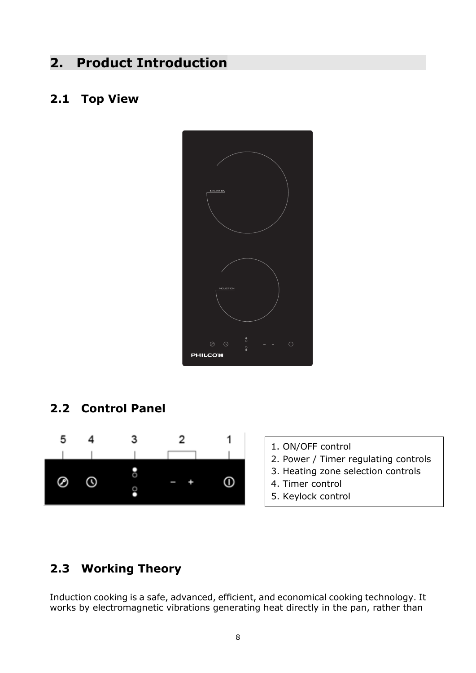## <span id="page-6-0"></span>**2. Product Introduction**

#### <span id="page-6-1"></span>**2.1 Top View**



### <span id="page-6-2"></span>**2.2 Control Panel**



- 1. ON/OFF control
- 2. Power / Timer regulating controls
- 3. Heating zone selection controls
- 4. Timer control
- 5. Keylock control

### <span id="page-6-3"></span>**2.3 Working Theory**

Induction cooking is a safe, advanced, efficient, and economical cooking technology. It works by electromagnetic vibrations generating heat directly in the pan, rather than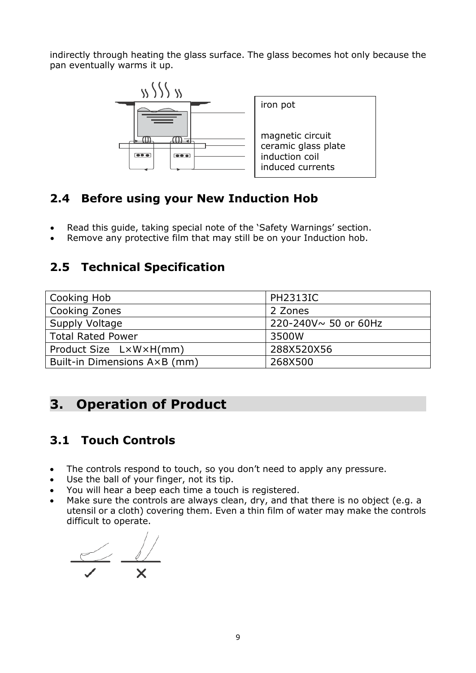indirectly through heating the glass surface. The glass becomes hot only because the pan eventually warms it up.



### <span id="page-7-0"></span>**2.4 Before using your New Induction Hob**

- Read this guide, taking special note of the 'Safety Warnings' section.
- <span id="page-7-1"></span>Remove any protective film that may still be on your Induction hob.

### **2.5 Technical Specification**

| Cooking Hob                  | <b>PH2313IC</b>      |  |
|------------------------------|----------------------|--|
| <b>Cooking Zones</b>         | 2 Zones              |  |
| Supply Voltage               | 220-240V~ 50 or 60Hz |  |
| <b>Total Rated Power</b>     | 3500W                |  |
| Product Size LxWxH(mm)       | 288X520X56           |  |
| Built-in Dimensions A×B (mm) | 268X500              |  |

# <span id="page-7-2"></span>**3. Operation of Product**

### <span id="page-7-3"></span>**3.1 Touch Controls**

- The controls respond to touch, so you don't need to apply any pressure.
- Use the ball of your finger, not its tip.
- You will hear a beep each time a touch is registered.
- Make sure the controls are always clean, dry, and that there is no object (e.g. a utensil or a cloth) covering them. Even a thin film of water may make the controls difficult to operate.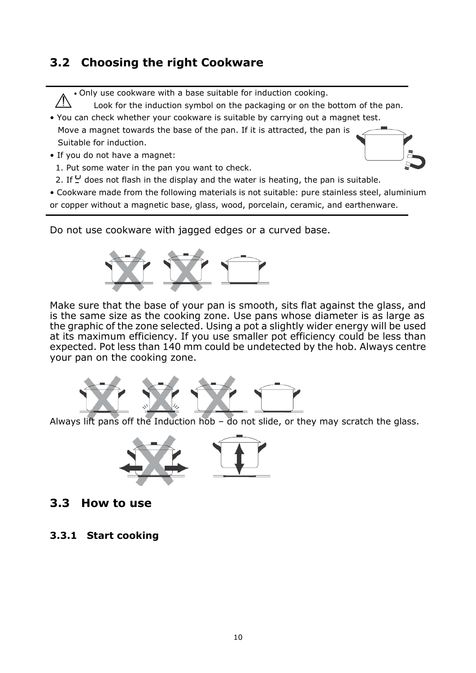### <span id="page-8-0"></span>**3.2 Choosing the right Cookware**

• Only use cookware with a base suitable for induction cooking.

Look for the induction symbol on the packaging or on the bottom of the pan.

- You can check whether your cookware is suitable by carrying out a magnet test. Move a magnet towards the base of the pan. If it is attracted, the pan is Suitable for induction.
- If you do not have a magnet:
- 1. Put some water in the pan you want to check.
- 2. If  $\frac{U}{I}$  does not flash in the display and the water is heating, the pan is suitable.

• Cookware made from the following materials is not suitable: pure stainless steel, aluminium or copper without a magnetic base, glass, wood, porcelain, ceramic, and earthenware.

Do not use cookware with jagged edges or a curved base.



Make sure that the base of your pan is smooth, sits flat against the glass, and is the same size as the cooking zone. Use pans whose diameter is as large as the graphic of the zone selected. Using a pot a slightly wider energy will be used at its maximum efficiency. If you use smaller pot efficiency could be less than expected. Pot less than 140 mm could be undetected by the hob. Always centre your pan on the cooking zone.



Always lift pans off the Induction hob – do not slide, or they may scratch the glass.



- <span id="page-8-1"></span>**3.3 How to use**
- <span id="page-8-2"></span>**3.3.1 Start cooking**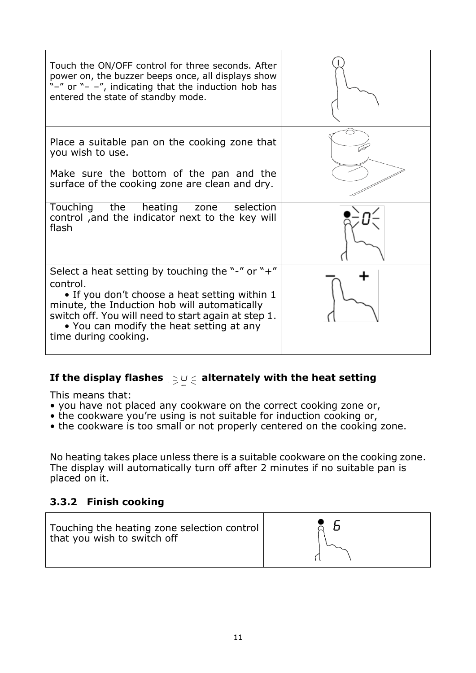| Touch the ON/OFF control for three seconds. After<br>power on, the buzzer beeps once, all displays show<br>"-" or "- -", indicating that the induction hob has<br>entered the state of standby mode.                                                                                     |  |
|------------------------------------------------------------------------------------------------------------------------------------------------------------------------------------------------------------------------------------------------------------------------------------------|--|
| Place a suitable pan on the cooking zone that<br>you wish to use.                                                                                                                                                                                                                        |  |
| Make sure the bottom of the pan and the<br>surface of the cooking zone are clean and dry.                                                                                                                                                                                                |  |
| Touching the heating zone selection<br>control, and the indicator next to the key will<br>flash                                                                                                                                                                                          |  |
| Select a heat setting by touching the "-" or "+"<br>control.<br>• If you don't choose a heat setting within 1<br>minute, the Induction hob will automatically<br>switch off. You will need to start again at step 1.<br>• You can modify the heat setting at any<br>time during cooking. |  |

#### If the display flashes  $\mathbf{S} \geq 0 \leq 1$  alternately with the heat setting

This means that:

- you have not placed any cookware on the correct cooking zone or,
- the cookware you're using is not suitable for induction cooking or,
- the cookware is too small or not properly centered on the cooking zone.

No heating takes place unless there is a suitable cookware on the cooking zone. The display will automatically turn off after 2 minutes if no suitable pan is placed on it.

#### <span id="page-9-0"></span>**3.3.2 Finish cooking**

| Touching the heating zone selection control<br>that you wish to switch off |  |
|----------------------------------------------------------------------------|--|
|----------------------------------------------------------------------------|--|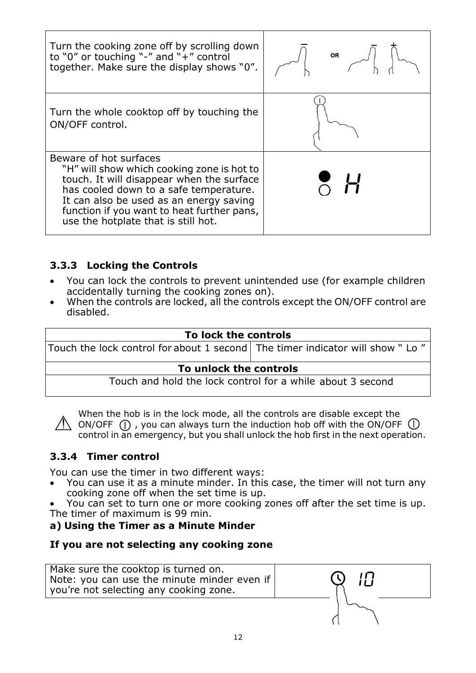| Turn the cooking zone off by scrolling down<br>to "0" or touching "-" and " $+$ " control<br>together. Make sure the display shows "0".                                                                                                                                                     | <b>OR</b> |
|---------------------------------------------------------------------------------------------------------------------------------------------------------------------------------------------------------------------------------------------------------------------------------------------|-----------|
| Turn the whole cooktop off by touching the<br>ON/OFF control.                                                                                                                                                                                                                               |           |
| Beware of hot surfaces<br>"H" will show which cooking zone is hot to<br>touch. It will disappear when the surface<br>has cooled down to a safe temperature.<br>It can also be used as an energy saving<br>function if you want to heat further pans,<br>use the hotplate that is still hot. |           |

#### <span id="page-10-0"></span>**3.3.3 Locking the Controls**

- You can lock the controls to prevent unintended use (for example children accidentally turning the cooking zones on).
- When the controls are locked, all the controls except the ON/OFF control are disabled.

| To lock the controls                                                             |  |  |  |  |
|----------------------------------------------------------------------------------|--|--|--|--|
| Touch the lock control for about 1 second   The timer indicator will show " Lo " |  |  |  |  |
| To unlock the controls                                                           |  |  |  |  |
| Touch and hold the lock control for a while about 3 second                       |  |  |  |  |

When the hob is in the lock mode, all the controls are disable except the  $\sqrt{N}$  ON/OFF (1), you can always turn the induction hob off with the ON/OFF (1) control in an emergency, but you shall unlock the hob first in the next operation.

#### **3.3.4 Timer control**

<span id="page-10-1"></span>You can use the timer in two different ways:

 You can use it as a minute minder. In this case, the timer will not turn any cooking zone off when the set time is up.

 You can set to turn one or more cooking zones off after the set time is up. The timer of maximum is 99 min.

#### **a) Using the Timer as a Minute Minder**

#### **If you are not selecting any cooking zone**

Make sure the cooktop is turned on. Note: you can use the minute minder even if you're not selecting any cooking zone.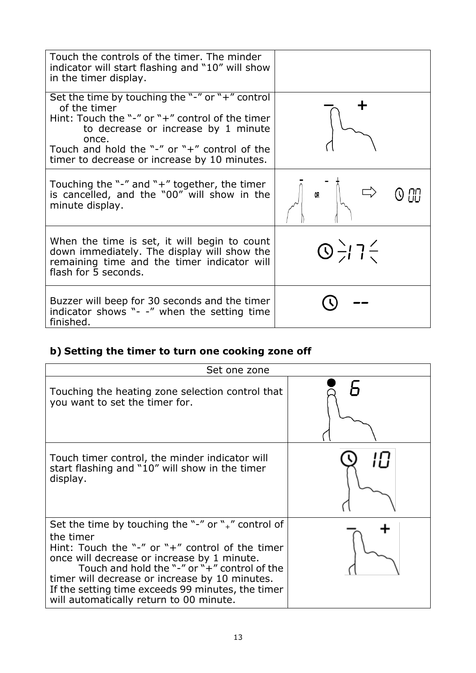| Touch the controls of the timer. The minder<br>indicator will start flashing and "10" will show<br>in the timer display.                                                                                                                                           |                                          |
|--------------------------------------------------------------------------------------------------------------------------------------------------------------------------------------------------------------------------------------------------------------------|------------------------------------------|
| Set the time by touching the "-" or "+" control<br>of the timer<br>Hint: Touch the "-" or "+" control of the timer<br>to decrease or increase by 1 minute<br>once.<br>Touch and hold the "-" or "+" control of the<br>timer to decrease or increase by 10 minutes. |                                          |
| Touching the "-" and " $+$ " together, the timer<br>is cancelled, and the "00" will show in the<br>minute display.                                                                                                                                                 | OR                                       |
| When the time is set, it will begin to count<br>down immediately. The display will show the<br>remaining time and the timer indicator will<br>flash for 5 seconds.                                                                                                 | $\bigcirc$ $\frac{1}{2}$ 7 $\frac{2}{3}$ |
| Buzzer will beep for 30 seconds and the timer<br>indicator shows "- -" when the setting time<br>finished.                                                                                                                                                          |                                          |

# **b) Setting the timer to turn one cooking zone off**

| Set one zone                                                                                                                                                                                                                                                                                                                                                                |  |  |  |  |  |
|-----------------------------------------------------------------------------------------------------------------------------------------------------------------------------------------------------------------------------------------------------------------------------------------------------------------------------------------------------------------------------|--|--|--|--|--|
| Touching the heating zone selection control that<br>you want to set the timer for.                                                                                                                                                                                                                                                                                          |  |  |  |  |  |
| Touch timer control, the minder indicator will<br>start flashing and "10" will show in the timer<br>display.                                                                                                                                                                                                                                                                |  |  |  |  |  |
| Set the time by touching the "-" or " $+$ " control of<br>the timer<br>Hint: Touch the "-" or " $+$ " control of the timer<br>once will decrease or increase by 1 minute.<br>Touch and hold the "-" or "+" control of the<br>timer will decrease or increase by 10 minutes.<br>If the setting time exceeds 99 minutes, the timer<br>will automatically return to 00 minute. |  |  |  |  |  |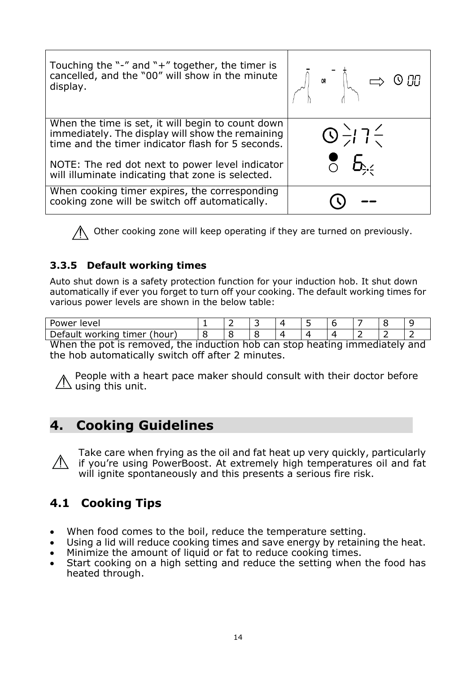| Touching the "-" and " $+$ " together, the timer is<br>cancelled, and the "00" will show in the minute<br>display.                                         | $\left \left.\begin{matrix} \sqrt{1} & \circ\circ\end{matrix}\right ^{-1}\right _{\mathcal{M}}\implies 0.00$ |
|------------------------------------------------------------------------------------------------------------------------------------------------------------|--------------------------------------------------------------------------------------------------------------|
| When the time is set, it will begin to count down<br>immediately. The display will show the remaining<br>time and the timer indicator flash for 5 seconds. | $\frac{1}{2}$<br>$\frac{1}{2}$<br>$\frac{2}{5}$<br>$\frac{5}{2}$                                             |
| NOTE: The red dot next to power level indicator<br>will illuminate indicating that zone is selected.                                                       |                                                                                                              |
| When cooking timer expires, the corresponding<br>cooking zone will be switch off automatically.                                                            |                                                                                                              |

Other cooking zone will keep operating if they are turned on previously.

#### <span id="page-12-0"></span>**3.3.5 Default working times**

Auto shut down is a safety protection function for your induction hob. It shut down automatically if ever you forget to turn off your cooking. The default working times for various power levels are shown in the below table:

| Power<br>Tevel                             |  |  |  |  |  |
|--------------------------------------------|--|--|--|--|--|
| .∿ afaultר<br>(hour)<br>timer<br>. workind |  |  |  |  |  |

When the pot is removed, the induction hob can stop heating immediately and the hob automatically switch off after 2 minutes.

People with a heart pace maker should consult with their doctor before  $\angle \Delta$  using this unit.

## <span id="page-12-1"></span>**4. Cooking Guidelines**

Take care when frying as the oil and fat heat up very quickly, particularly if you're using PowerBoost. At extremely high temperatures oil and fat will ignite spontaneously and this presents a serious fire risk.

### <span id="page-12-2"></span>**4.1 Cooking Tips**

- When food comes to the boil, reduce the temperature setting.
- Using a lid will reduce cooking times and save energy by retaining the heat.
- Minimize the amount of liquid or fat to reduce cooking times.
- Start cooking on a high setting and reduce the setting when the food has heated through.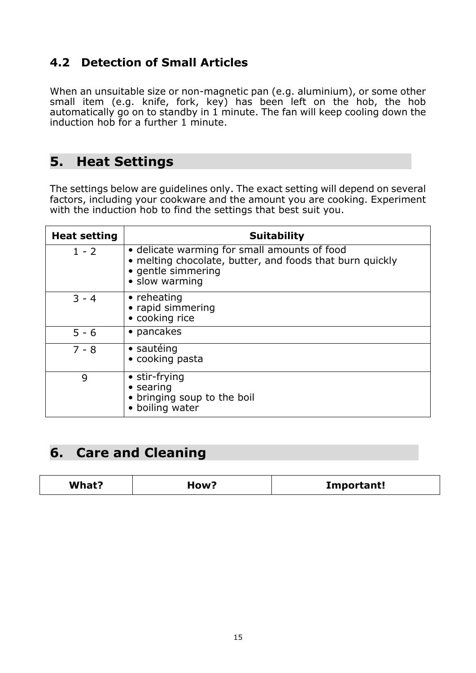## <span id="page-13-0"></span>**4.2 Detection of Small Articles**

When an unsuitable size or non-magnetic pan (e.g. aluminium), or some other small item (e.g. knife, fork, key) has been left on the hob, the hob automatically go on to standby in 1 minute. The fan will keep cooling down the induction hob for a further 1 minute.

### <span id="page-13-1"></span>**5. Heat Settings**

The settings below are guidelines only. The exact setting will depend on several factors, including your cookware and the amount you are cooking. Experiment with the induction hob to find the settings that best suit you.

| <b>Heat setting</b> | <b>Suitability</b>                                                                                                                               |
|---------------------|--------------------------------------------------------------------------------------------------------------------------------------------------|
| $1 - 2$             | • delicate warming for small amounts of food<br>• melting chocolate, butter, and foods that burn quickly<br>• gentle simmering<br>• slow warming |
| $3 - 4$             | $\bullet$ reheating<br>• rapid simmering<br>• cooking rice                                                                                       |
| $5 - 6$             | • pancakes                                                                                                                                       |
| $7 - 8$             | • sautéing<br>• cooking pasta                                                                                                                    |
| 9                   | • stir-frying<br>$\bullet$ searing<br>• bringing soup to the boil<br>• boiling water                                                             |

## <span id="page-13-2"></span>**6. Care and Cleaning**

| <b>What?</b><br>How? | Important! |
|----------------------|------------|
|----------------------|------------|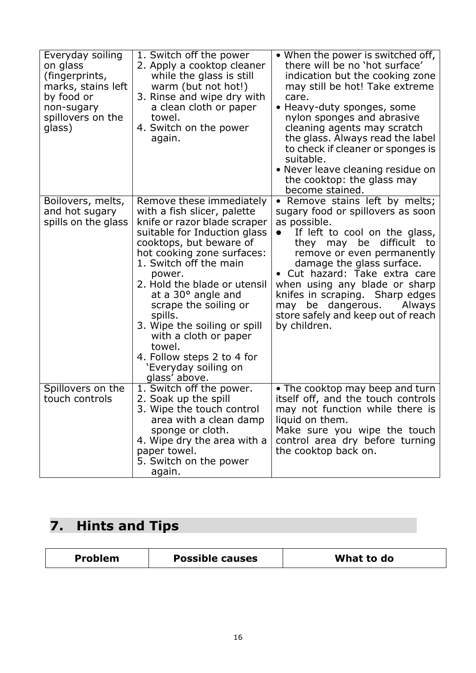| Everyday soiling<br>on glass<br>(fingerprints,<br>marks, stains left<br>by food or<br>non-sugary<br>spillovers on the<br>glass) | 1. Switch off the power<br>2. Apply a cooktop cleaner<br>while the glass is still<br>warm (but not hot!)<br>3. Rinse and wipe dry with<br>a clean cloth or paper<br>towel.<br>4. Switch on the power<br>again.                                                                                                                                                                                                                                           | • When the power is switched off,<br>there will be no 'hot surface'<br>indication but the cooking zone<br>may still be hot! Take extreme<br>care.<br>• Heavy-duty sponges, some<br>nylon sponges and abrasive<br>cleaning agents may scratch<br>the glass. Always read the label<br>to check if cleaner or sponges is<br>suitable.<br>• Never leave cleaning residue on<br>the cooktop: the glass may<br>become stained.    |
|---------------------------------------------------------------------------------------------------------------------------------|----------------------------------------------------------------------------------------------------------------------------------------------------------------------------------------------------------------------------------------------------------------------------------------------------------------------------------------------------------------------------------------------------------------------------------------------------------|-----------------------------------------------------------------------------------------------------------------------------------------------------------------------------------------------------------------------------------------------------------------------------------------------------------------------------------------------------------------------------------------------------------------------------|
| Boilovers, melts,<br>and hot sugary<br>spills on the glass                                                                      | Remove these immediately<br>with a fish slicer, palette<br>knife or razor blade scraper<br>suitable for Induction glass<br>cooktops, but beware of<br>hot cooking zone surfaces:<br>1. Switch off the main<br>power.<br>2. Hold the blade or utensil<br>at a 30° angle and<br>scrape the soiling or<br>spills.<br>3. Wipe the soiling or spill<br>with a cloth or paper<br>towel.<br>4. Follow steps 2 to 4 for<br>'Everyday soiling on<br>glass' above. | • Remove stains left by melts;<br>sugary food or spillovers as soon<br>as possible.<br>If left to cool on the glass,<br>$\bullet$<br>difficult<br>they may be<br>to to<br>remove or even permanently<br>damage the glass surface.<br>• Cut hazard: Take extra care<br>when using any blade or sharp<br>knifes in scraping. Sharp edges<br>may be dangerous.<br>Always<br>store safely and keep out of reach<br>by children. |
| Spillovers on the<br>touch controls                                                                                             | 1. Switch off the power.<br>2. Soak up the spill<br>3. Wipe the touch control<br>area with a clean damp<br>sponge or cloth.<br>4. Wipe dry the area with a<br>paper towel.<br>5. Switch on the power<br>again.                                                                                                                                                                                                                                           | • The cooktop may beep and turn<br>itself off, and the touch controls<br>may not function while there is<br>liquid on them.<br>Make sure you wipe the touch<br>control area dry before turning<br>the cooktop back on.                                                                                                                                                                                                      |

# <span id="page-14-0"></span>**7. Hints and Tips**

| <b>Problem</b> | <b>Possible causes</b> | What to do |
|----------------|------------------------|------------|
|                |                        |            |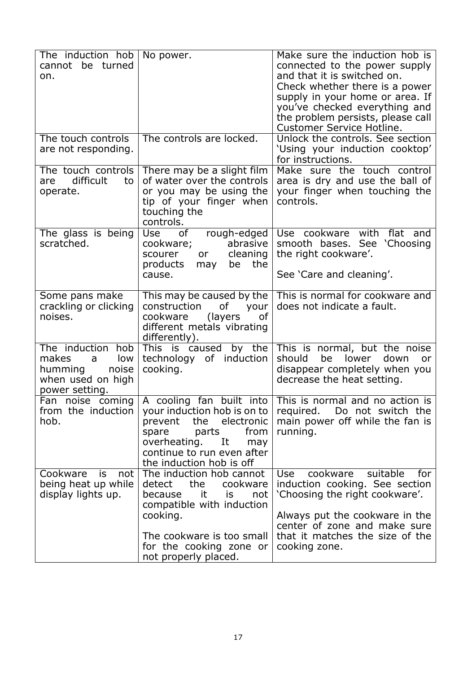| The induction hob      | No power.                                       | Make sure the induction hob is                                   |
|------------------------|-------------------------------------------------|------------------------------------------------------------------|
| cannot<br>be turned    |                                                 | connected to the power supply                                    |
| on.                    |                                                 | and that it is switched on.                                      |
|                        |                                                 | Check whether there is a power                                   |
|                        |                                                 | supply in your home or area. If<br>you've checked everything and |
|                        |                                                 | the problem persists, please call                                |
|                        |                                                 | Customer Service Hotline.                                        |
| The touch controls     | The controls are locked.                        | Unlock the controls. See section                                 |
| are not responding.    |                                                 | 'Using your induction cooktop'                                   |
|                        |                                                 | for instructions.                                                |
| The touch controls     | There may be a slight film                      | Make sure the touch control                                      |
| difficult<br>to<br>are | of water over the controls                      | area is dry and use the ball of                                  |
| operate.               | or you may be using the                         | your finger when touching the                                    |
|                        | tip of your finger when                         | controls.                                                        |
|                        | touching the<br>controls.                       |                                                                  |
| The glass is being     | <b>Use</b><br>of<br>rough-edged                 | Use cookware with<br>flat and                                    |
| scratched.             | abrasive<br>cookware;                           | See<br>'Choosing<br>smooth bases.                                |
|                        | scourer<br>cleaning<br>or                       | the right cookware'.                                             |
|                        | products<br>the<br>be<br>may                    |                                                                  |
|                        | cause.                                          | See 'Care and cleaning'.                                         |
| Some pans make         | This may be caused by the                       | This is normal for cookware and                                  |
| crackling or clicking  | of<br>construction<br>your                      | does not indicate a fault.                                       |
| noises.                | cookware<br>(layers)<br>of                      |                                                                  |
|                        | different metals vibrating                      |                                                                  |
| The induction hob      | differently).<br>This is caused<br>by the       | This is normal, but the noise                                    |
| makes<br>low<br>a      | technology of induction                         | should<br>be<br>lower<br>down<br><b>or</b>                       |
| humming<br>noise       | cooking.                                        | disappear completely when you                                    |
| when used on high      |                                                 | decrease the heat setting.                                       |
| power setting.         |                                                 |                                                                  |
| Fan noise coming       |                                                 | A cooling fan built into   This is normal and no action is       |
| from the induction     | your induction hob is on to                     | required. Do not switch the                                      |
| hob.                   | the electronic<br>prevent                       | main power off while the fan is                                  |
|                        | from<br>parts<br>spare<br>overheating.          | running.                                                         |
|                        | It<br>may<br>continue to run even after         |                                                                  |
|                        | the induction hob is off                        |                                                                  |
| Cookware<br>is<br>not  | The induction hob cannot                        | suitable<br>cookware<br>Use<br>for                               |
| being heat up while    | the<br>detect<br>cookware                       | induction cooking. See section                                   |
| display lights up.     | it<br>not<br>because<br>is                      | 'Choosing the right cookware'.                                   |
|                        | compatible with induction                       |                                                                  |
|                        | cooking.                                        | Always put the cookware in the                                   |
|                        |                                                 | center of zone and make sure                                     |
|                        | The cookware is too small                       | that it matches the size of the                                  |
|                        | for the cooking zone or<br>not properly placed. | cooking zone.                                                    |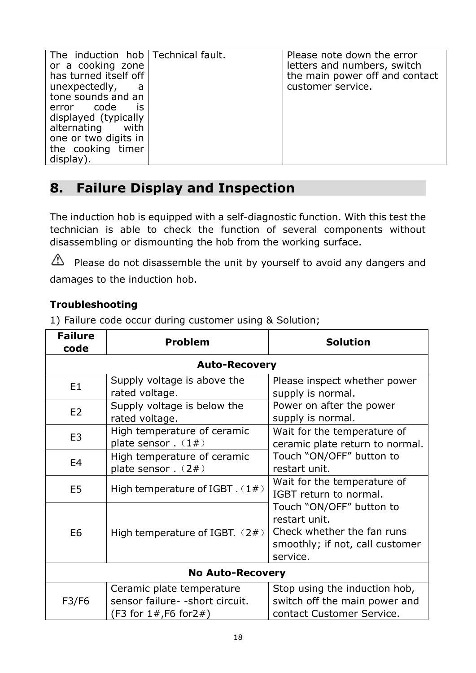| The induction hob Technical fault.<br>or a cooking zone<br>has turned itself off<br>unexpectedly,<br>a<br>tone sounds and an<br>error code<br><b>is</b><br>displayed (typically<br>alternating with<br>one or two digits in<br>the cooking timer<br>display). |  | Please note down the error<br>letters and numbers, switch<br>the main power off and contact<br>customer service. |
|---------------------------------------------------------------------------------------------------------------------------------------------------------------------------------------------------------------------------------------------------------------|--|------------------------------------------------------------------------------------------------------------------|
|---------------------------------------------------------------------------------------------------------------------------------------------------------------------------------------------------------------------------------------------------------------|--|------------------------------------------------------------------------------------------------------------------|

# <span id="page-16-0"></span>**8. Failure Display and Inspection**

The induction hob is equipped with a self-diagnostic function. With this test the technician is able to check the function of several components without disassembling or dismounting the hob from the working surface.

 $\triangle$  Please do not disassemble the unit by yourself to avoid any dangers and damages to the induction hob.

#### **Troubleshooting**

1) Failure code occur during customer using & Solution;

| <b>Failure</b><br>code | <b>Problem</b>                                                                                | <b>Solution</b>                                                                                                        |  |  |
|------------------------|-----------------------------------------------------------------------------------------------|------------------------------------------------------------------------------------------------------------------------|--|--|
|                        | <b>Auto-Recovery</b>                                                                          |                                                                                                                        |  |  |
| E <sub>1</sub>         | Supply voltage is above the<br>rated voltage.                                                 | Please inspect whether power<br>supply is normal.                                                                      |  |  |
| E2                     | Supply voltage is below the<br>rated voltage.                                                 | Power on after the power<br>supply is normal.                                                                          |  |  |
| E <sub>3</sub>         | High temperature of ceramic<br>plate sensor $. (1#)$                                          | Wait for the temperature of<br>ceramic plate return to normal.                                                         |  |  |
| E <sub>4</sub>         | High temperature of ceramic<br>plate sensor. (2#)                                             | Touch "ON/OFF" button to<br>restart unit.                                                                              |  |  |
| E <sub>5</sub>         | High temperature of IGBT $(1#)$                                                               | Wait for the temperature of<br>IGBT return to normal.                                                                  |  |  |
| E <sub>6</sub>         | High temperature of IGBT. $(2#)$                                                              | Touch "ON/OFF" button to<br>restart unit.<br>Check whether the fan runs<br>smoothly; if not, call customer<br>service. |  |  |
|                        | <b>No Auto-Recovery</b>                                                                       |                                                                                                                        |  |  |
| F3/F6                  | Ceramic plate temperature<br>sensor failure- - short circuit.<br>(F3 for $1#$ , F6 for $2#$ ) | Stop using the induction hob,<br>switch off the main power and<br>contact Customer Service.                            |  |  |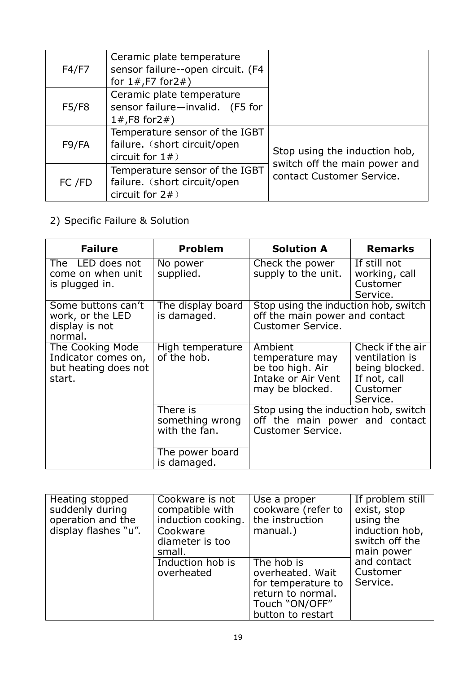| F4/F7  | Ceramic plate temperature<br>sensor failure--open circuit. (F4<br>for $1#$ , F7 for $2#$ ) |                                                            |
|--------|--------------------------------------------------------------------------------------------|------------------------------------------------------------|
| F5/F8  | Ceramic plate temperature<br>sensor failure-invalid. (F5 for<br>1#,F8 for2#)               |                                                            |
| F9/FA  | Temperature sensor of the IGBT<br>failure. (short circuit/open<br>circuit for $1#$ )       | Stop using the induction hob,                              |
| FC /FD | Temperature sensor of the IGBT<br>failure. (short circuit/open<br>circuit for $2#$ )       | switch off the main power and<br>contact Customer Service. |

2) Specific Failure & Solution

| <b>Failure</b>                                                            | <b>Problem</b>                               | <b>Solution A</b>                                                                                  | <b>Remarks</b>                                                                               |
|---------------------------------------------------------------------------|----------------------------------------------|----------------------------------------------------------------------------------------------------|----------------------------------------------------------------------------------------------|
| The LED does not<br>come on when unit<br>is plugged in.                   | No power<br>supplied.                        | Check the power<br>supply to the unit.                                                             | If still not<br>working, call<br>Customer<br>Service.                                        |
| Some buttons can't<br>work, or the LED<br>display is not<br>normal.       | The display board<br>is damaged.             | Stop using the induction hob, switch<br>off the main power and contact<br><b>Customer Service.</b> |                                                                                              |
| The Cooking Mode<br>Indicator comes on,<br>but heating does not<br>start. | High temperature<br>of the hob.              | Ambient<br>temperature may<br>be too high. Air<br>Intake or Air Vent<br>may be blocked.            | Check if the air<br>ventilation is<br>being blocked.<br>If not, call<br>Customer<br>Service. |
|                                                                           | There is<br>something wrong<br>with the fan. | Stop using the induction hob, switch<br>off the main power and contact<br><b>Customer Service.</b> |                                                                                              |
|                                                                           | The power board<br>is damaged.               |                                                                                                    |                                                                                              |

| Heating stopped<br>suddenly during<br>operation and the<br>display flashes $\sqrt[n]{u''}$ . | Cookware is not<br>compatible with<br>induction cooking.<br>Cookware<br>diameter is too<br>small. | Use a proper<br>cookware (refer to<br>the instruction<br>manual.)                                                | If problem still<br>exist, stop<br>using the<br>induction hob,<br>switch off the<br>main power |
|----------------------------------------------------------------------------------------------|---------------------------------------------------------------------------------------------------|------------------------------------------------------------------------------------------------------------------|------------------------------------------------------------------------------------------------|
|                                                                                              | Induction hob is<br>overheated                                                                    | The hob is<br>overheated. Wait<br>for temperature to<br>return to normal.<br>Touch "ON/OFF"<br>button to restart | and contact<br>Customer<br>Service.                                                            |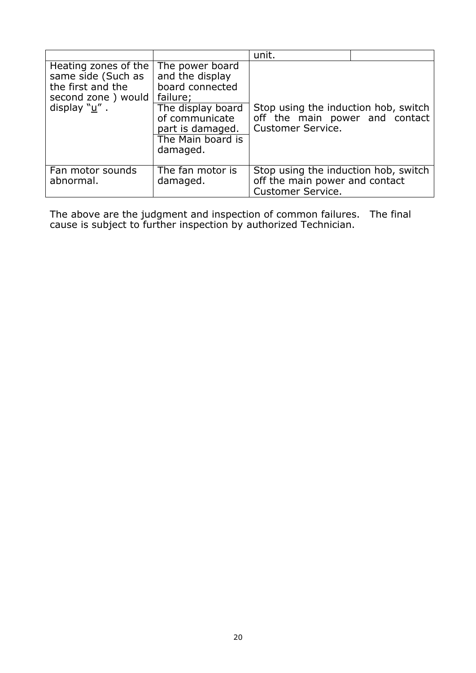|                                                                                                          |                                                                                                                                                               | unit.                                                                                              |  |
|----------------------------------------------------------------------------------------------------------|---------------------------------------------------------------------------------------------------------------------------------------------------------------|----------------------------------------------------------------------------------------------------|--|
| Heating zones of the<br>same side (Such as<br>the first and the<br>second zone) would<br>display $"u"$ . | The power board<br>and the display<br>board connected<br>failure;<br>The display board<br>of communicate<br>part is damaged.<br>The Main board is<br>damaged. | Stop using the induction hob, switch<br>off the main power and contact<br>Customer Service.        |  |
| Fan motor sounds<br>abnormal.                                                                            | The fan motor is<br>damaged.                                                                                                                                  | Stop using the induction hob, switch<br>off the main power and contact<br><b>Customer Service.</b> |  |

The above are the judgment and inspection of common failures. The final cause is subject to further inspection by authorized Technician.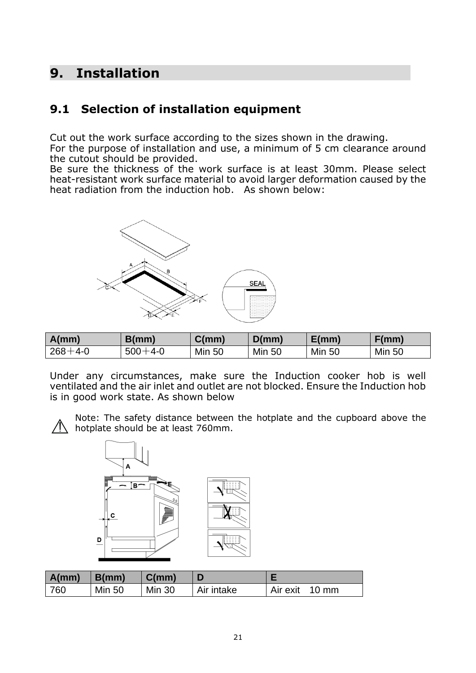# <span id="page-19-0"></span>**9. Installation**

### <span id="page-19-1"></span>**9.1 Selection of installation equipment**

Cut out the work surface according to the sizes shown in the drawing.

For the purpose of installation and use, a minimum of 5 cm clearance around the cutout should be provided.

Be sure the thickness of the work surface is at least 30mm. Please select heat-resistant work surface material to avoid larger deformation caused by the heat radiation from the induction hob. As shown below:



| A(mm)         | B/mm          | C(mm)         | D(mm)         | E/mm          | F(mm)         |
|---------------|---------------|---------------|---------------|---------------|---------------|
| $268 + 4 - 0$ | $500 + 4 - 0$ | <b>Min 50</b> | <b>Min 50</b> | <b>Min 50</b> | <b>Min 50</b> |

Under any circumstances, make sure the Induction cooker hob is well ventilated and the air inlet and outlet are not blocked. Ensure the Induction hob is in good work state. As shown below



Note: The safety distance between the hotplate and the cupboard above the  $\sqrt{N}$  hotplate should be at least 760mm.



| A(mm) | B(mm)         | C(mm)         |            |                |
|-------|---------------|---------------|------------|----------------|
| 760   | <b>Min 50</b> | <b>Min 30</b> | Air intake | Air exit 10 mm |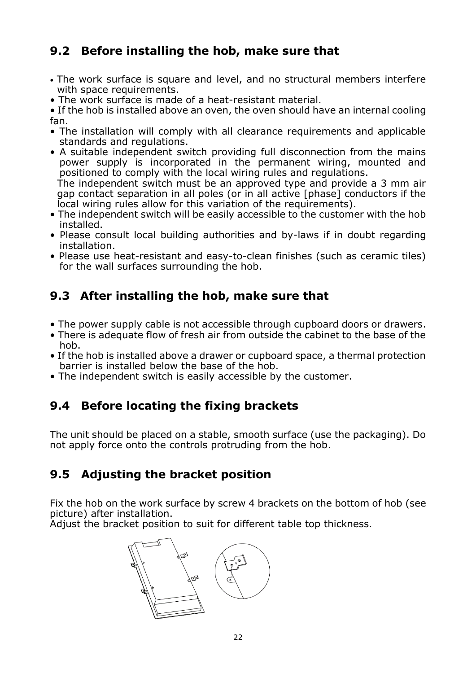### <span id="page-20-0"></span>**9.2 Before installing the hob, make sure that**

- The work surface is square and level, and no structural members interfere with space requirements.
- The work surface is made of a heat-resistant material.

• If the hob is installed above an oven, the oven should have an internal cooling fan.

- The installation will comply with all clearance requirements and applicable standards and regulations.
- A suitable independent switch providing full disconnection from the mains power supply is incorporated in the permanent wiring, mounted and positioned to comply with the local wiring rules and regulations. The independent switch must be an approved type and provide a 3 mm air

gap contact separation in all poles (or in all active [phase] conductors if the local wiring rules allow for this variation of the requirements).

- The independent switch will be easily accessible to the customer with the hob installed.
- Please consult local building authorities and by-laws if in doubt regarding installation.
- Please use heat-resistant and easy-to-clean finishes (such as ceramic tiles) for the wall surfaces surrounding the hob.

# <span id="page-20-1"></span>**9.3 After installing the hob, make sure that**

- The power supply cable is not accessible through cupboard doors or drawers.
- There is adequate flow of fresh air from outside the cabinet to the base of the hob.
- If the hob is installed above a drawer or cupboard space, a thermal protection barrier is installed below the base of the hob.
- The independent switch is easily accessible by the customer.

## <span id="page-20-2"></span>**9.4 Before locating the fixing brackets**

The unit should be placed on a stable, smooth surface (use the packaging). Do not apply force onto the controls protruding from the hob.

### <span id="page-20-3"></span>**9.5 Adjusting the bracket position**

Fix the hob on the work surface by screw 4 brackets on the bottom of hob (see picture) after installation.

Adjust the bracket position to suit for different table top thickness.

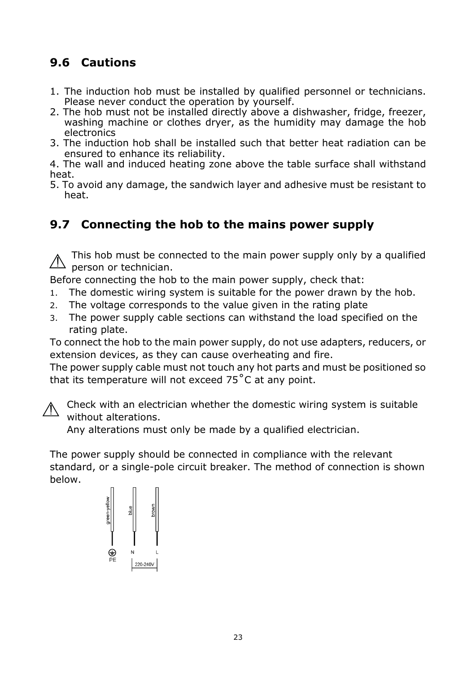# <span id="page-21-0"></span>**9.6 Cautions**

- 1. The induction hob must be installed by qualified personnel or technicians. Please never conduct the operation by yourself.
- 2. The hob must not be installed directly above a dishwasher, fridge, freezer, washing machine or clothes dryer, as the humidity may damage the hob electronics
- 3. The induction hob shall be installed such that better heat radiation can be ensured to enhance its reliability.

4. The wall and induced heating zone above the table surface shall withstand heat.

5. To avoid any damage, the sandwich layer and adhesive must be resistant to heat.

### <span id="page-21-1"></span>**9.7 Connecting the hob to the mains power supply**

This hob must be connected to the main power supply only by a qualified  $\triangle$  person or technician.

Before connecting the hob to the main power supply, check that:

- 1. The domestic wiring system is suitable for the power drawn by the hob.
- 2. The voltage corresponds to the value given in the rating plate
- 3. The power supply cable sections can withstand the load specified on the rating plate.

To connect the hob to the main power supply, do not use adapters, reducers, or extension devices, as they can cause overheating and fire.

The power supply cable must not touch any hot parts and must be positioned so that its temperature will not exceed 75˚C at any point.



Check with an electrician whether the domestic wiring system is suitable without alterations.

Any alterations must only be made by a qualified electrician.

The power supply should be connected in compliance with the relevant standard, or a single-pole circuit breaker. The method of connection is shown below.